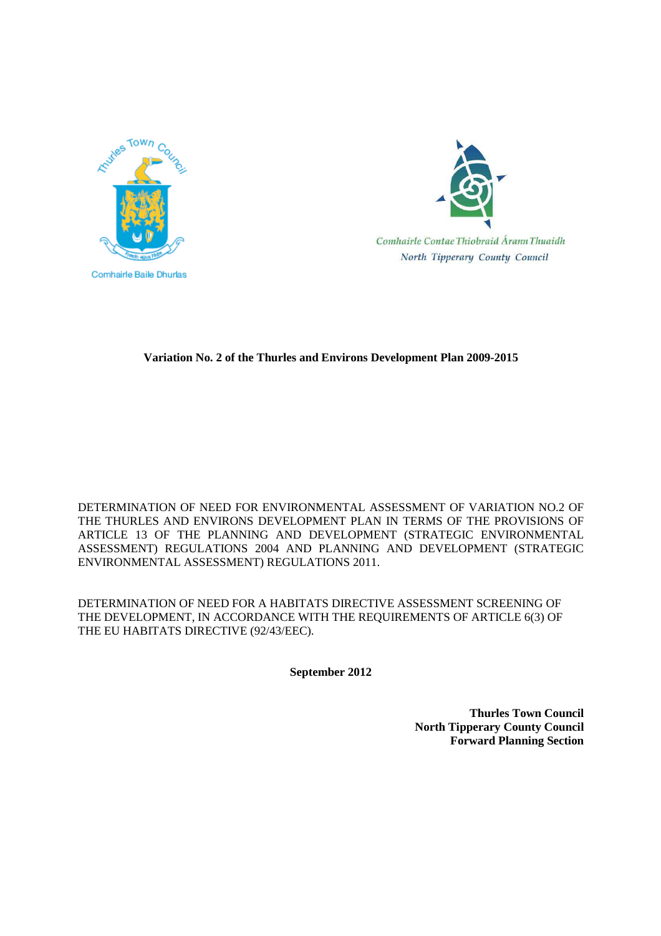



Comhairle Contae Thiobraid Árann Thuaidh North Tipperary County Council

# **Variation No. 2 of the Thurles and Environs Development Plan 2009-2015**

DETERMINATION OF NEED FOR ENVIRONMENTAL ASSESSMENT OF VARIATION NO.2 OF THE THURLES AND ENVIRONS DEVELOPMENT PLAN IN TERMS OF THE PROVISIONS OF ARTICLE 13 OF THE PLANNING AND DEVELOPMENT (STRATEGIC ENVIRONMENTAL ASSESSMENT) REGULATIONS 2004 AND PLANNING AND DEVELOPMENT (STRATEGIC ENVIRONMENTAL ASSESSMENT) REGULATIONS 2011.

DETERMINATION OF NEED FOR A HABITATS DIRECTIVE ASSESSMENT SCREENING OF THE DEVELOPMENT, IN ACCORDANCE WITH THE REQUIREMENTS OF ARTICLE 6(3) OF THE EU HABITATS DIRECTIVE (92/43/EEC).

**September 2012** 

**Thurles Town Council North Tipperary County Council Forward Planning Section**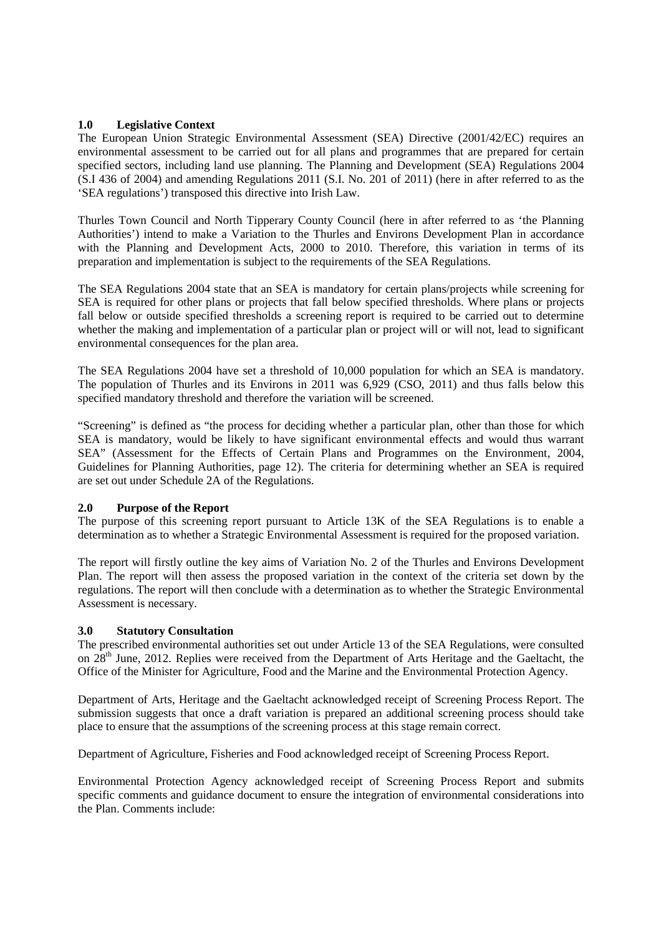## **1.0 Legislative Context**

The European Union Strategic Environmental Assessment (SEA) Directive (2001/42/EC) requires an environmental assessment to be carried out for all plans and programmes that are prepared for certain specified sectors, including land use planning. The Planning and Development (SEA) Regulations 2004 (S.I 436 of 2004) and amending Regulations 2011 (S.I. No. 201 of 2011) (here in after referred to as the 'SEA regulations') transposed this directive into Irish Law.

Thurles Town Council and North Tipperary County Council (here in after referred to as 'the Planning Authorities') intend to make a Variation to the Thurles and Environs Development Plan in accordance with the Planning and Development Acts, 2000 to 2010. Therefore, this variation in terms of its preparation and implementation is subject to the requirements of the SEA Regulations.

The SEA Regulations 2004 state that an SEA is mandatory for certain plans/projects while screening for SEA is required for other plans or projects that fall below specified thresholds. Where plans or projects fall below or outside specified thresholds a screening report is required to be carried out to determine whether the making and implementation of a particular plan or project will or will not, lead to significant environmental consequences for the plan area.

The SEA Regulations 2004 have set a threshold of 10,000 population for which an SEA is mandatory. The population of Thurles and its Environs in 2011 was 6,929 (CSO, 2011) and thus falls below this specified mandatory threshold and therefore the variation will be screened.

"Screening" is defined as "the process for deciding whether a particular plan, other than those for which SEA is mandatory, would be likely to have significant environmental effects and would thus warrant SEA" (Assessment for the Effects of Certain Plans and Programmes on the Environment, 2004, Guidelines for Planning Authorities, page 12). The criteria for determining whether an SEA is required are set out under Schedule 2A of the Regulations.

### **2.0 Purpose of the Report**

The purpose of this screening report pursuant to Article 13K of the SEA Regulations is to enable a determination as to whether a Strategic Environmental Assessment is required for the proposed variation.

The report will firstly outline the key aims of Variation No. 2 of the Thurles and Environs Development Plan. The report will then assess the proposed variation in the context of the criteria set down by the regulations. The report will then conclude with a determination as to whether the Strategic Environmental Assessment is necessary.

### **3.0 Statutory Consultation**

The prescribed environmental authorities set out under Article 13 of the SEA Regulations, were consulted on  $28<sup>th</sup>$  June, 2012. Replies were received from the Department of Arts Heritage and the Gaeltacht, the Office of the Minister for Agriculture, Food and the Marine and the Environmental Protection Agency.

Department of Arts, Heritage and the Gaeltacht acknowledged receipt of Screening Process Report. The submission suggests that once a draft variation is prepared an additional screening process should take place to ensure that the assumptions of the screening process at this stage remain correct.

Department of Agriculture, Fisheries and Food acknowledged receipt of Screening Process Report.

Environmental Protection Agency acknowledged receipt of Screening Process Report and submits specific comments and guidance document to ensure the integration of environmental considerations into the Plan. Comments include: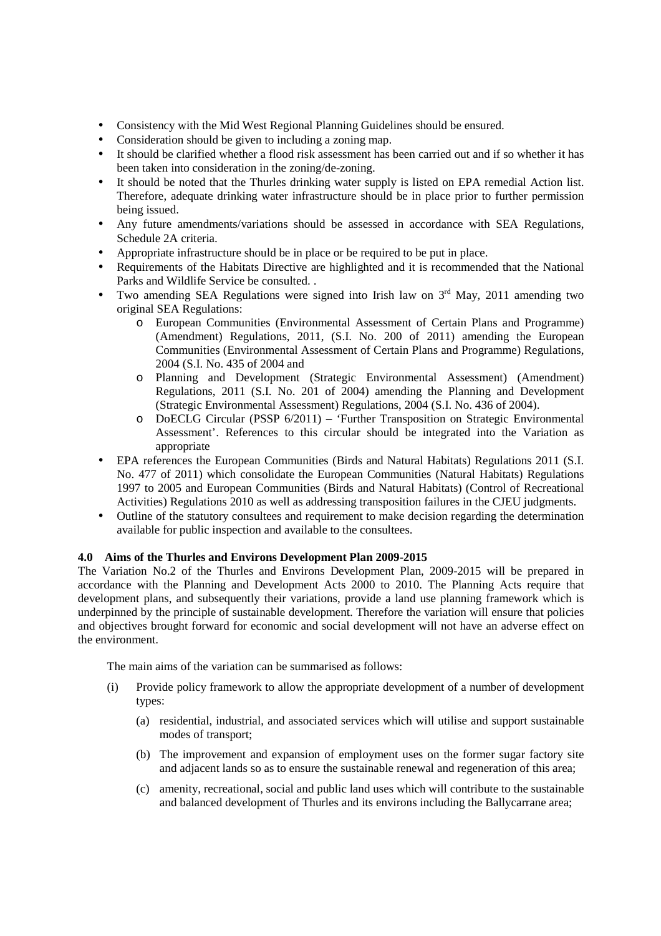- Consistency with the Mid West Regional Planning Guidelines should be ensured.
- Consideration should be given to including a zoning map.
- It should be clarified whether a flood risk assessment has been carried out and if so whether it has been taken into consideration in the zoning/de-zoning.
- It should be noted that the Thurles drinking water supply is listed on EPA remedial Action list. Therefore, adequate drinking water infrastructure should be in place prior to further permission being issued.
- Any future amendments/variations should be assessed in accordance with SEA Regulations, Schedule 2A criteria.
- Appropriate infrastructure should be in place or be required to be put in place.
- Requirements of the Habitats Directive are highlighted and it is recommended that the National Parks and Wildlife Service be consulted. .
- Two amending SEA Regulations were signed into Irish law on  $3<sup>rd</sup>$  May, 2011 amending two original SEA Regulations:
	- o European Communities (Environmental Assessment of Certain Plans and Programme) (Amendment) Regulations, 2011, (S.I. No. 200 of 2011) amending the European Communities (Environmental Assessment of Certain Plans and Programme) Regulations, 2004 (S.I. No. 435 of 2004 and
	- o Planning and Development (Strategic Environmental Assessment) (Amendment) Regulations, 2011 (S.I. No. 201 of 2004) amending the Planning and Development (Strategic Environmental Assessment) Regulations, 2004 (S.I. No. 436 of 2004).
	- o DoECLG Circular (PSSP 6/2011) 'Further Transposition on Strategic Environmental Assessment'. References to this circular should be integrated into the Variation as appropriate
- EPA references the European Communities (Birds and Natural Habitats) Regulations 2011 (S.I. No. 477 of 2011) which consolidate the European Communities (Natural Habitats) Regulations 1997 to 2005 and European Communities (Birds and Natural Habitats) (Control of Recreational Activities) Regulations 2010 as well as addressing transposition failures in the CJEU judgments.
- Outline of the statutory consultees and requirement to make decision regarding the determination available for public inspection and available to the consultees.

### **4.0 Aims of the Thurles and Environs Development Plan 2009-2015**

The Variation No.2 of the Thurles and Environs Development Plan, 2009-2015 will be prepared in accordance with the Planning and Development Acts 2000 to 2010. The Planning Acts require that development plans, and subsequently their variations, provide a land use planning framework which is underpinned by the principle of sustainable development. Therefore the variation will ensure that policies and objectives brought forward for economic and social development will not have an adverse effect on the environment.

The main aims of the variation can be summarised as follows:

- (i) Provide policy framework to allow the appropriate development of a number of development types:
	- (a) residential, industrial, and associated services which will utilise and support sustainable modes of transport;
	- (b) The improvement and expansion of employment uses on the former sugar factory site and adjacent lands so as to ensure the sustainable renewal and regeneration of this area;
	- (c) amenity, recreational, social and public land uses which will contribute to the sustainable and balanced development of Thurles and its environs including the Ballycarrane area;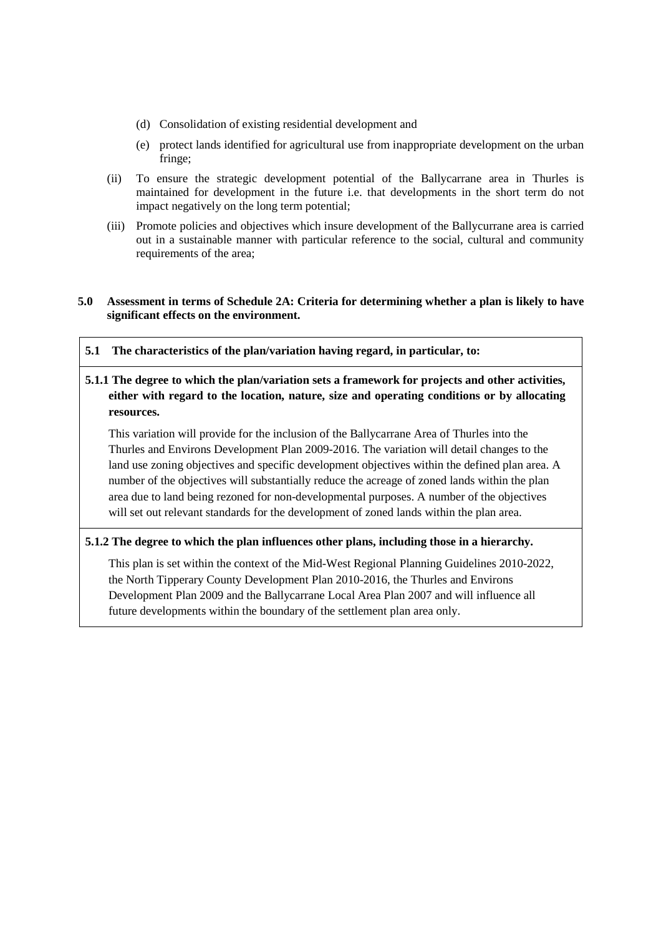- (d) Consolidation of existing residential development and
- (e) protect lands identified for agricultural use from inappropriate development on the urban fringe;
- (ii) To ensure the strategic development potential of the Ballycarrane area in Thurles is maintained for development in the future i.e. that developments in the short term do not impact negatively on the long term potential;
- (iii) Promote policies and objectives which insure development of the Ballycurrane area is carried out in a sustainable manner with particular reference to the social, cultural and community requirements of the area;

# **5.0 Assessment in terms of Schedule 2A: Criteria for determining whether a plan is likely to have significant effects on the environment.**

**5.1 The characteristics of the plan/variation having regard, in particular, to:** 

# **5.1.1 The degree to which the plan/variation sets a framework for projects and other activities, either with regard to the location, nature, size and operating conditions or by allocating resources.**

This variation will provide for the inclusion of the Ballycarrane Area of Thurles into the Thurles and Environs Development Plan 2009-2016. The variation will detail changes to the land use zoning objectives and specific development objectives within the defined plan area. A number of the objectives will substantially reduce the acreage of zoned lands within the plan area due to land being rezoned for non-developmental purposes. A number of the objectives will set out relevant standards for the development of zoned lands within the plan area.

# **5.1.2 The degree to which the plan influences other plans, including those in a hierarchy.**

This plan is set within the context of the Mid-West Regional Planning Guidelines 2010-2022, the North Tipperary County Development Plan 2010-2016, the Thurles and Environs Development Plan 2009 and the Ballycarrane Local Area Plan 2007 and will influence all future developments within the boundary of the settlement plan area only.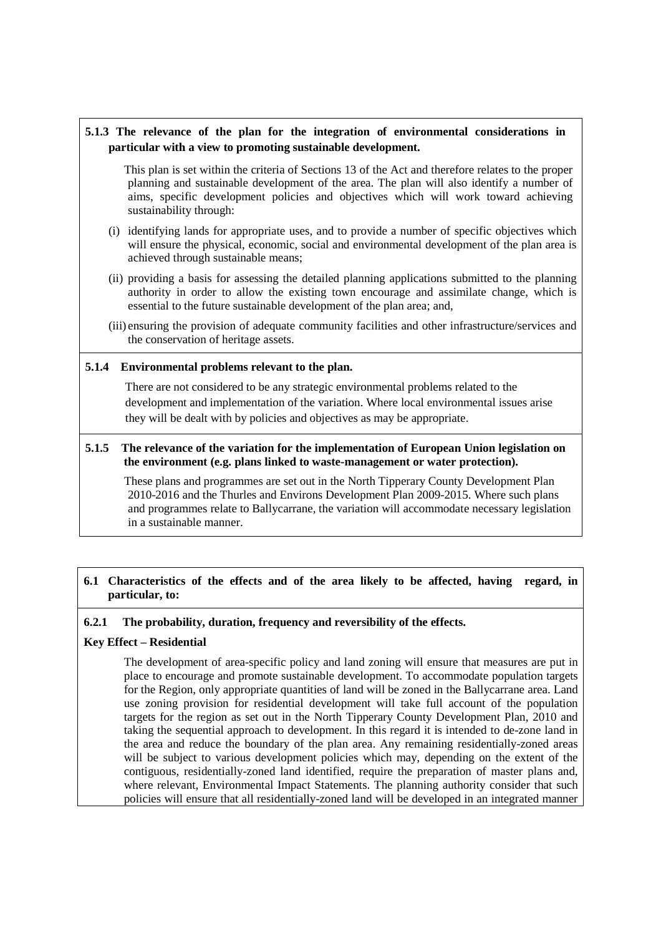# **5.1.3 The relevance of the plan for the integration of environmental considerations in particular with a view to promoting sustainable development.**

This plan is set within the criteria of Sections 13 of the Act and therefore relates to the proper planning and sustainable development of the area. The plan will also identify a number of aims, specific development policies and objectives which will work toward achieving sustainability through:

- (i) identifying lands for appropriate uses, and to provide a number of specific objectives which will ensure the physical, economic, social and environmental development of the plan area is achieved through sustainable means;
- (ii) providing a basis for assessing the detailed planning applications submitted to the planning authority in order to allow the existing town encourage and assimilate change, which is essential to the future sustainable development of the plan area; and,
- (iii) ensuring the provision of adequate community facilities and other infrastructure/services and the conservation of heritage assets.

### **5.1.4 Environmental problems relevant to the plan.**

There are not considered to be any strategic environmental problems related to the development and implementation of the variation. Where local environmental issues arise they will be dealt with by policies and objectives as may be appropriate.

#### **5.1.5 The relevance of the variation for the implementation of European Union legislation on the environment (e.g. plans linked to waste-management or water protection).**

These plans and programmes are set out in the North Tipperary County Development Plan 2010-2016 and the Thurles and Environs Development Plan 2009-2015. Where such plans and programmes relate to Ballycarrane, the variation will accommodate necessary legislation in a sustainable manner.

# **6.1 Characteristics of the effects and of the area likely to be affected, having regard, in particular, to:**

### **6.2.1 The probability, duration, frequency and reversibility of the effects.**

### **Key Effect – Residential**

The development of area-specific policy and land zoning will ensure that measures are put in place to encourage and promote sustainable development. To accommodate population targets for the Region, only appropriate quantities of land will be zoned in the Ballycarrane area. Land use zoning provision for residential development will take full account of the population targets for the region as set out in the North Tipperary County Development Plan, 2010 and taking the sequential approach to development. In this regard it is intended to de-zone land in the area and reduce the boundary of the plan area. Any remaining residentially-zoned areas will be subject to various development policies which may, depending on the extent of the contiguous, residentially-zoned land identified, require the preparation of master plans and, where relevant, Environmental Impact Statements. The planning authority consider that such policies will ensure that all residentially-zoned land will be developed in an integrated manner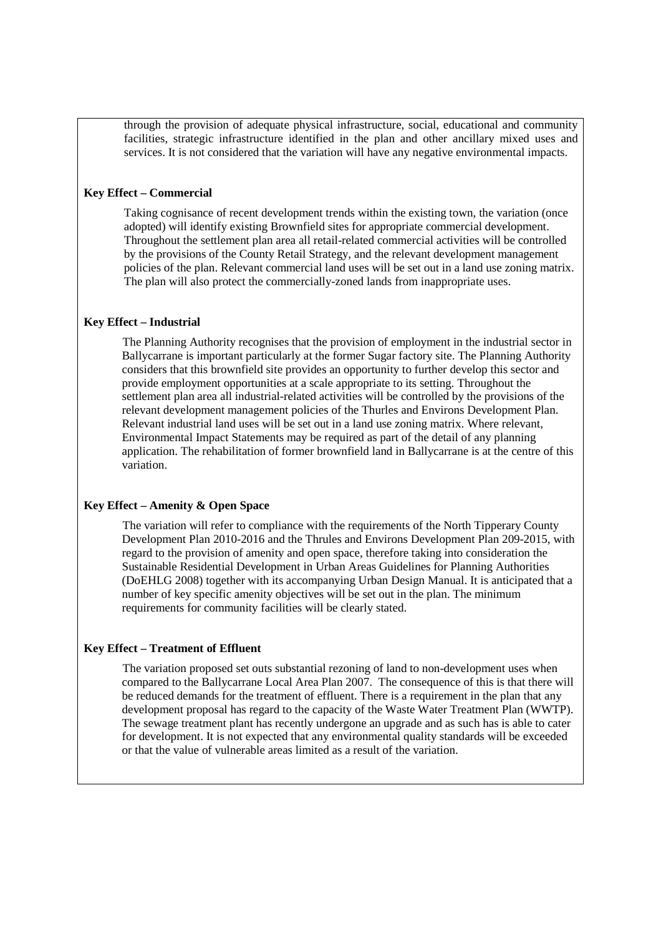through the provision of adequate physical infrastructure, social, educational and community facilities, strategic infrastructure identified in the plan and other ancillary mixed uses and services. It is not considered that the variation will have any negative environmental impacts.

#### **Key Effect – Commercial**

Taking cognisance of recent development trends within the existing town, the variation (once adopted) will identify existing Brownfield sites for appropriate commercial development. Throughout the settlement plan area all retail-related commercial activities will be controlled by the provisions of the County Retail Strategy, and the relevant development management policies of the plan. Relevant commercial land uses will be set out in a land use zoning matrix. The plan will also protect the commercially-zoned lands from inappropriate uses.

#### **Key Effect – Industrial**

The Planning Authority recognises that the provision of employment in the industrial sector in Ballycarrane is important particularly at the former Sugar factory site. The Planning Authority considers that this brownfield site provides an opportunity to further develop this sector and provide employment opportunities at a scale appropriate to its setting. Throughout the settlement plan area all industrial-related activities will be controlled by the provisions of the relevant development management policies of the Thurles and Environs Development Plan. Relevant industrial land uses will be set out in a land use zoning matrix. Where relevant, Environmental Impact Statements may be required as part of the detail of any planning application. The rehabilitation of former brownfield land in Ballycarrane is at the centre of this variation.

## **Key Effect – Amenity & Open Space**

The variation will refer to compliance with the requirements of the North Tipperary County Development Plan 2010-2016 and the Thrules and Environs Development Plan 209-2015, with regard to the provision of amenity and open space, therefore taking into consideration the Sustainable Residential Development in Urban Areas Guidelines for Planning Authorities (DoEHLG 2008) together with its accompanying Urban Design Manual. It is anticipated that a number of key specific amenity objectives will be set out in the plan. The minimum requirements for community facilities will be clearly stated.

#### **Key Effect – Treatment of Effluent**

The variation proposed set outs substantial rezoning of land to non-development uses when compared to the Ballycarrane Local Area Plan 2007. The consequence of this is that there will be reduced demands for the treatment of effluent. There is a requirement in the plan that any development proposal has regard to the capacity of the Waste Water Treatment Plan (WWTP). The sewage treatment plant has recently undergone an upgrade and as such has is able to cater for development. It is not expected that any environmental quality standards will be exceeded or that the value of vulnerable areas limited as a result of the variation.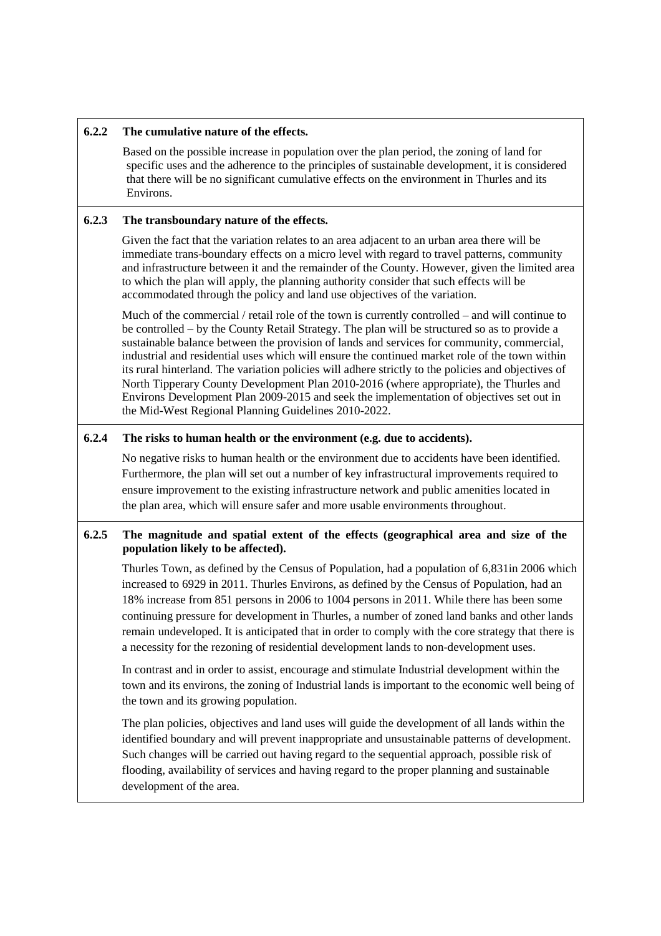## **6.2.2 The cumulative nature of the effects.**

Based on the possible increase in population over the plan period, the zoning of land for specific uses and the adherence to the principles of sustainable development, it is considered that there will be no significant cumulative effects on the environment in Thurles and its Environs.

# **6.2.3 The transboundary nature of the effects.**

Given the fact that the variation relates to an area adjacent to an urban area there will be immediate trans-boundary effects on a micro level with regard to travel patterns, community and infrastructure between it and the remainder of the County. However, given the limited area to which the plan will apply, the planning authority consider that such effects will be accommodated through the policy and land use objectives of the variation.

Much of the commercial / retail role of the town is currently controlled – and will continue to be controlled – by the County Retail Strategy. The plan will be structured so as to provide a sustainable balance between the provision of lands and services for community, commercial, industrial and residential uses which will ensure the continued market role of the town within its rural hinterland. The variation policies will adhere strictly to the policies and objectives of North Tipperary County Development Plan 2010-2016 (where appropriate), the Thurles and Environs Development Plan 2009-2015 and seek the implementation of objectives set out in the Mid-West Regional Planning Guidelines 2010-2022.

# **6.2.4 The risks to human health or the environment (e.g. due to accidents).**

No negative risks to human health or the environment due to accidents have been identified. Furthermore, the plan will set out a number of key infrastructural improvements required to ensure improvement to the existing infrastructure network and public amenities located in the plan area, which will ensure safer and more usable environments throughout.

# **6.2.5 The magnitude and spatial extent of the effects (geographical area and size of the population likely to be affected).**

Thurles Town, as defined by the Census of Population, had a population of 6,831in 2006 which increased to 6929 in 2011. Thurles Environs, as defined by the Census of Population, had an 18% increase from 851 persons in 2006 to 1004 persons in 2011. While there has been some continuing pressure for development in Thurles, a number of zoned land banks and other lands remain undeveloped. It is anticipated that in order to comply with the core strategy that there is a necessity for the rezoning of residential development lands to non-development uses.

In contrast and in order to assist, encourage and stimulate Industrial development within the town and its environs, the zoning of Industrial lands is important to the economic well being of the town and its growing population.

The plan policies, objectives and land uses will guide the development of all lands within the identified boundary and will prevent inappropriate and unsustainable patterns of development. Such changes will be carried out having regard to the sequential approach, possible risk of flooding, availability of services and having regard to the proper planning and sustainable development of the area.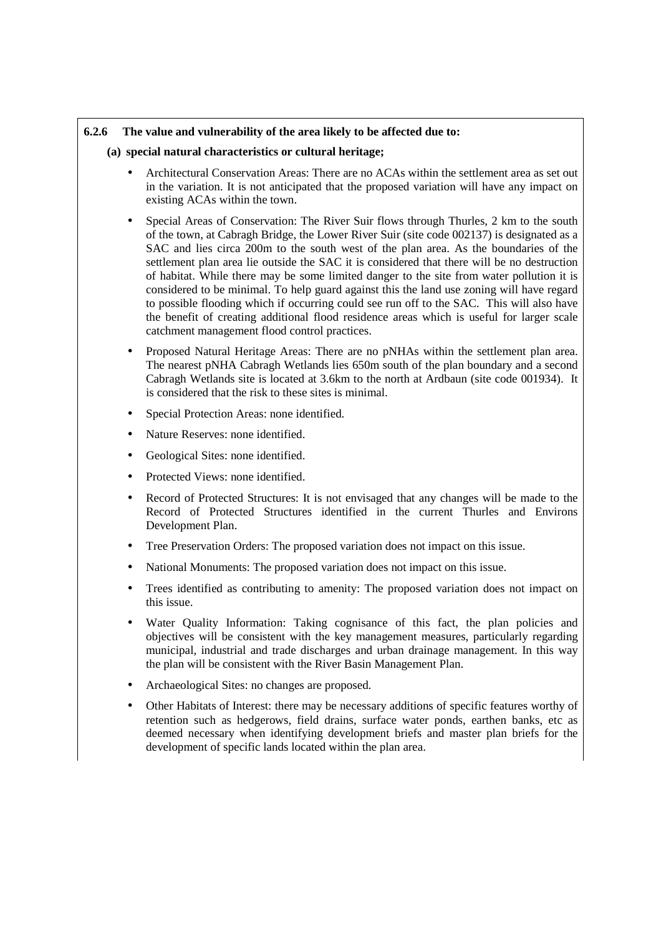# **6.2.6 The value and vulnerability of the area likely to be affected due to:**

### **(a) special natural characteristics or cultural heritage;**

- Architectural Conservation Areas: There are no ACAs within the settlement area as set out in the variation. It is not anticipated that the proposed variation will have any impact on existing ACAs within the town.
- Special Areas of Conservation: The River Suir flows through Thurles, 2 km to the south of the town, at Cabragh Bridge, the Lower River Suir (site code 002137) is designated as a SAC and lies circa 200m to the south west of the plan area. As the boundaries of the settlement plan area lie outside the SAC it is considered that there will be no destruction of habitat. While there may be some limited danger to the site from water pollution it is considered to be minimal. To help guard against this the land use zoning will have regard to possible flooding which if occurring could see run off to the SAC. This will also have the benefit of creating additional flood residence areas which is useful for larger scale catchment management flood control practices.
- Proposed Natural Heritage Areas: There are no pNHAs within the settlement plan area. The nearest pNHA Cabragh Wetlands lies 650m south of the plan boundary and a second Cabragh Wetlands site is located at 3.6km to the north at Ardbaun (site code 001934). It is considered that the risk to these sites is minimal.
- Special Protection Areas: none identified.
- Nature Reserves: none identified.
- Geological Sites: none identified.
- Protected Views: none identified.
- Record of Protected Structures: It is not envisaged that any changes will be made to the Record of Protected Structures identified in the current Thurles and Environs Development Plan.
- Tree Preservation Orders: The proposed variation does not impact on this issue.
- National Monuments: The proposed variation does not impact on this issue.
- Trees identified as contributing to amenity: The proposed variation does not impact on this issue.
- Water Quality Information: Taking cognisance of this fact, the plan policies and objectives will be consistent with the key management measures, particularly regarding municipal, industrial and trade discharges and urban drainage management. In this way the plan will be consistent with the River Basin Management Plan.
- Archaeological Sites: no changes are proposed.
- Other Habitats of Interest: there may be necessary additions of specific features worthy of retention such as hedgerows, field drains, surface water ponds, earthen banks, etc as deemed necessary when identifying development briefs and master plan briefs for the development of specific lands located within the plan area.